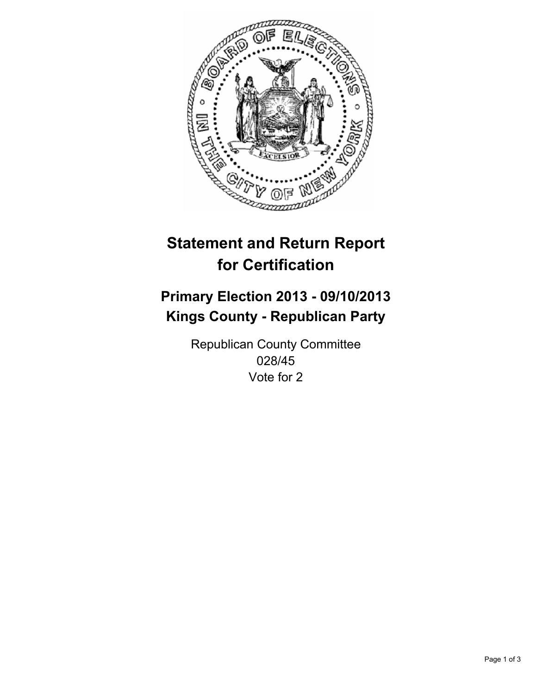

# **Statement and Return Report for Certification**

# **Primary Election 2013 - 09/10/2013 Kings County - Republican Party**

Republican County Committee 028/45 Vote for 2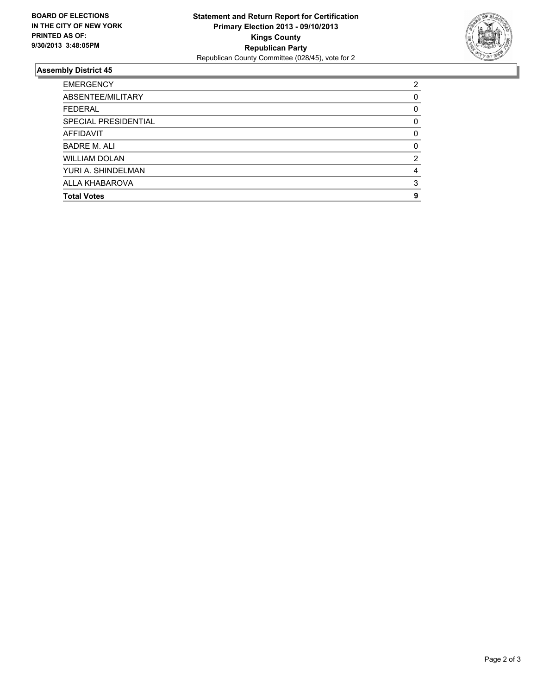

## **Assembly District 45**

| ABSENTEE/MILITARY<br><b>FEDERAL</b><br>SPECIAL PRESIDENTIAL<br>AFFIDAVIT<br>BADRE M. ALI<br><b>WILLIAM DOLAN</b><br>YURI A. SHINDELMAN<br>ALLA KHABAROVA<br><b>Total Votes</b> | <b>EMERGENCY</b> | 2        |
|--------------------------------------------------------------------------------------------------------------------------------------------------------------------------------|------------------|----------|
|                                                                                                                                                                                |                  | 0        |
|                                                                                                                                                                                |                  | 0        |
|                                                                                                                                                                                |                  | 0        |
|                                                                                                                                                                                |                  | $\Omega$ |
|                                                                                                                                                                                |                  | 0        |
|                                                                                                                                                                                |                  | 2        |
|                                                                                                                                                                                |                  | 4        |
|                                                                                                                                                                                |                  | 3        |
|                                                                                                                                                                                |                  | 9        |